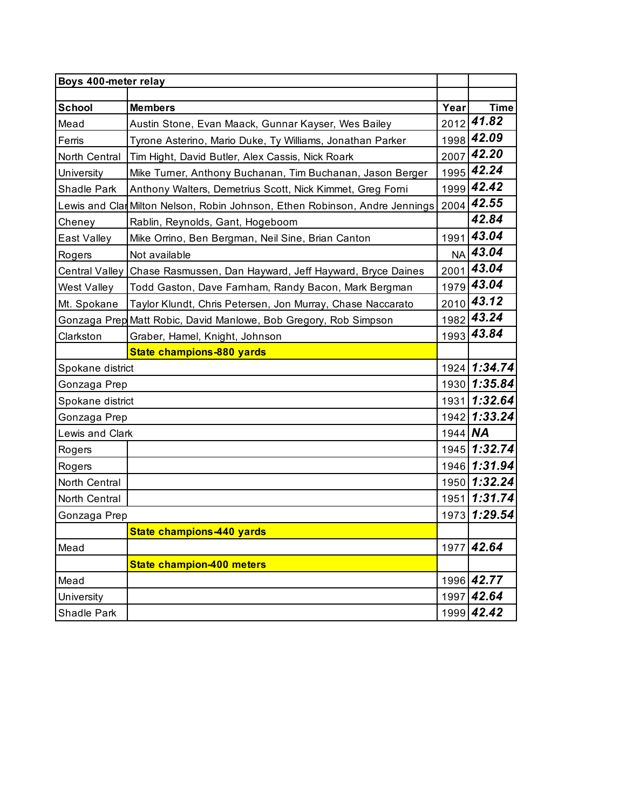| Boys 400-meter relay |                                                                             |         |              |
|----------------------|-----------------------------------------------------------------------------|---------|--------------|
|                      |                                                                             |         |              |
| <b>School</b>        | <b>Members</b>                                                              | Year    | <b>Time</b>  |
| Mead                 | Austin Stone, Evan Maack, Gunnar Kayser, Wes Bailey                         |         | $2012$ 41.82 |
| Ferris               | Tyrone Asterino, Mario Duke, Ty Williams, Jonathan Parker                   |         | 1998 42.09   |
| North Central        | Tim Hight, David Butler, Alex Cassis, Nick Roark                            |         | 2007 42.20   |
| University           | Mike Turner, Anthony Buchanan, Tim Buchanan, Jason Berger                   |         | 1995 42.24   |
| Shadle Park          | Anthony Walters, Demetrius Scott, Nick Kimmet, Greg Forni                   |         | 1999 42.42   |
|                      | Lewis and Clar Milton Nelson, Robin Johnson, Ethen Robinson, Andre Jennings |         | 2004 42.55   |
| Cheney               | Rablin, Reynolds, Gant, Hogeboom                                            |         | 42.84        |
| East Valley          | Mike Orrino, Ben Bergman, Neil Sine, Brian Canton                           | 1991    | 43.04        |
| Rogers               | Not available                                                               |         | $NA$ 43.04   |
|                      | Central Valley Chase Rasmussen, Dan Hayward, Jeff Hayward, Bryce Daines     | 2001    | 43.04        |
| <b>West Valley</b>   | Todd Gaston, Dave Farnham, Randy Bacon, Mark Bergman                        |         | 1979 43.04   |
| Mt. Spokane          | Taylor Klundt, Chris Petersen, Jon Murray, Chase Naccarato                  |         | $2010$ 43.12 |
|                      | Gonzaga Prep Matt Robic, David Manlowe, Bob Gregory, Rob Simpson            |         | 1982 43.24   |
| Clarkston            | Graber, Hamel, Knight, Johnson                                              |         | 1993 43.84   |
|                      | <b>State champions-880 yards</b>                                            |         |              |
| Spokane district     |                                                                             |         | 1924 1:34.74 |
| Gonzaga Prep         |                                                                             |         | 1930 1:35.84 |
| Spokane district     |                                                                             |         | 1931 1:32.64 |
| Gonzaga Prep         |                                                                             | 1942    | 1:33.24      |
| Lewis and Clark      |                                                                             | 1944 NA |              |
| Rogers               |                                                                             |         | 1945 1:32.74 |
| Rogers               |                                                                             |         | 1946 1:31.94 |
| North Central        |                                                                             |         | 1950 1:32.24 |
| North Central        |                                                                             | 1951    | 1:31.74      |
| Gonzaga Prep         |                                                                             | 1973    | 1:29.54      |
|                      | State champions-440 yards                                                   |         |              |
| Mead                 |                                                                             | 1977    | 42.64        |
|                      | <b>State champion-400 meters</b>                                            |         |              |
| Mead                 |                                                                             |         | 1996 42.77   |
| University           |                                                                             | 1997    | 42.64        |
| Shadle Park          |                                                                             |         | 1999 42.42   |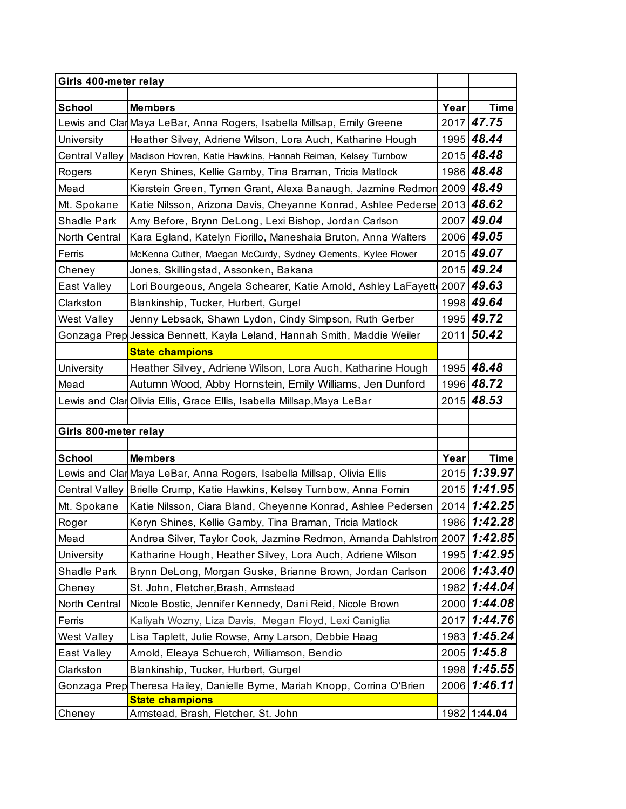| Girls 400-meter relay |                                                                                          |      |                             |
|-----------------------|------------------------------------------------------------------------------------------|------|-----------------------------|
|                       |                                                                                          |      |                             |
| <b>School</b>         | <b>Members</b>                                                                           | Year | <b>Time</b>                 |
|                       | Lewis and Clar Maya LeBar, Anna Rogers, Isabella Millsap, Emily Greene                   | 2017 | 47.75                       |
| University            | Heather Silvey, Adriene Wilson, Lora Auch, Katharine Hough                               |      | 1995 48.44                  |
|                       | Central Valley Madison Hovren, Katie Hawkins, Hannah Reiman, Kelsey Turnbow              |      | 2015 48.48                  |
| Rogers                | Keryn Shines, Kellie Gamby, Tina Braman, Tricia Matlock                                  |      | 1986 48.48                  |
| Mead                  | Kierstein Green, Tymen Grant, Alexa Banaugh, Jazmine Redmon                              |      | 2009 48.49                  |
| Mt. Spokane           | Katie Nilsson, Arizona Davis, Cheyanne Konrad, Ashlee Pederse                            |      | 2013 48.62                  |
| <b>Shadle Park</b>    | Amy Before, Brynn DeLong, Lexi Bishop, Jordan Carlson                                    | 2007 | 49.04                       |
| North Central         | Kara Egland, Katelyn Fiorillo, Maneshaia Bruton, Anna Walters                            |      | 2006 49.05                  |
| Ferris                | McKenna Cuther, Maegan McCurdy, Sydney Clements, Kylee Flower                            |      | 2015 49.07                  |
| Cheney                | Jones, Skillingstad, Assonken, Bakana                                                    |      | 2015 49.24                  |
| East Valley           | Lori Bourgeous, Angela Schearer, Katie Arnold, Ashley LaFayett                           | 2007 | 49.63                       |
| Clarkston             | Blankinship, Tucker, Hurbert, Gurgel                                                     |      | 1998 49.64                  |
| West Valley           | Jenny Lebsack, Shawn Lydon, Cindy Simpson, Ruth Gerber                                   |      | 1995 49.72                  |
|                       | Gonzaga Prep Jessica Bennett, Kayla Leland, Hannah Smith, Maddie Weiler                  | 2011 | 50.42                       |
|                       | <b>State champions</b>                                                                   |      |                             |
| University            | Heather Silvey, Adriene Wilson, Lora Auch, Katharine Hough                               |      | 1995 48.48                  |
| Mead                  | Autumn Wood, Abby Hornstein, Emily Williams, Jen Dunford                                 |      | 1996 48.72                  |
|                       | Lewis and Clar Olivia Ellis, Grace Ellis, Isabella Millsap, Maya LeBar                   |      | 2015 48.53                  |
|                       |                                                                                          |      |                             |
| Girls 800-meter relay |                                                                                          |      |                             |
|                       |                                                                                          |      |                             |
| <b>School</b>         | <b>Members</b><br>Lewis and Clar Maya LeBar, Anna Rogers, Isabella Millsap, Olivia Ellis | Year | <b>Time</b><br>2015 1:39.97 |
|                       | Central Valley Brielle Crump, Katie Hawkins, Kelsey Turnbow, Anna Fomin                  | 2015 | 1:41.95                     |
|                       |                                                                                          | 2014 | 1:42.25                     |
| Mt. Spokane           | Katie Nilsson, Ciara Bland, Cheyenne Konrad, Ashlee Pedersen                             |      | 1986 1:42.28                |
| Roger                 | Keryn Shines, Kellie Gamby, Tina Braman, Tricia Matlock                                  |      |                             |
| Mead                  | Andrea Silver, Taylor Cook, Jazmine Redmon, Amanda Dahlstron                             |      | 2007 1:42.85                |
| University            | Katharine Hough, Heather Silvey, Lora Auch, Adriene Wilson                               |      | 1995 1:42.95                |
| Shadle Park           | Brynn DeLong, Morgan Guske, Brianne Brown, Jordan Carlson                                |      | 2006 1:43.40                |
| Cheney                | St. John, Fletcher, Brash, Armstead                                                      | 1982 | 1:44.04                     |
| North Central         | Nicole Bostic, Jennifer Kennedy, Dani Reid, Nicole Brown                                 |      | 2000 1:44.08                |
| Ferris                | Kaliyah Wozny, Liza Davis, Megan Floyd, Lexi Caniglia                                    | 2017 | 1:44.76                     |
| West Valley           | Lisa Taplett, Julie Rowse, Amy Larson, Debbie Haag                                       | 1983 | 1:45.24                     |
| East Valley           | Arnold, Eleaya Schuerch, Williamson, Bendio                                              |      | 2005 1:45.8                 |
| Clarkston             | Blankinship, Tucker, Hurbert, Gurgel                                                     | 1998 | 1:45.55                     |
|                       | Gonzaga Prep Theresa Hailey, Danielle Byrne, Mariah Knopp, Corrina O'Brien               | 2006 | 1:46.11                     |
|                       | <b>State champions</b>                                                                   |      |                             |
| Cheney                | Armstead, Brash, Fletcher, St. John                                                      |      | 1982 1:44.04                |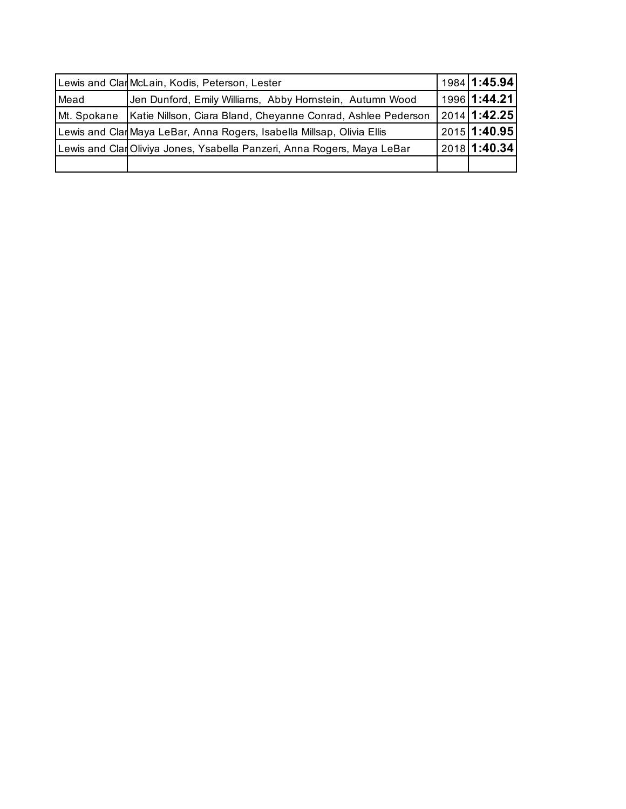|             | Lewis and ClarMcLain, Kodis, Peterson, Lester                          | 1984 1:45.94 |
|-------------|------------------------------------------------------------------------|--------------|
| Mead        | Jen Dunford, Emily Williams, Abby Hornstein, Autumn Wood               | 1996 1:44.21 |
| Mt. Spokane | Katie Nillson, Ciara Bland, Cheyanne Conrad, Ashlee Pederson           | 2014 1:42.25 |
|             | Lewis and Clar Maya LeBar, Anna Rogers, Isabella Millsap, Olivia Ellis | 2015 1:40.95 |
|             | Lewis and ClarOliviya Jones, Ysabella Panzeri, Anna Rogers, Maya LeBar | 2018 1:40.34 |
|             |                                                                        |              |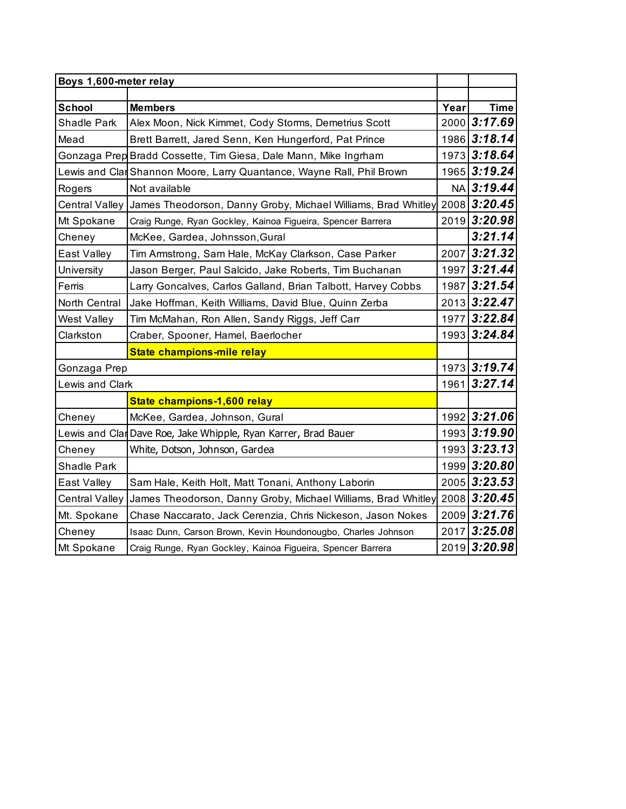| Boys 1,600-meter relay |                                                                       |      |              |
|------------------------|-----------------------------------------------------------------------|------|--------------|
|                        |                                                                       |      |              |
| <b>School</b>          | <b>Members</b>                                                        | Year | <b>Time</b>  |
| Shadle Park            | Alex Moon, Nick Kimmet, Cody Storms, Demetrius Scott                  |      | 2000 3:17.69 |
| Mead                   | Brett Barrett, Jared Senn, Ken Hungerford, Pat Prince                 |      | 1986 3:18.14 |
|                        | Gonzaga Prep Bradd Cossette, Tim Giesa, Dale Mann, Mike Ingrham       |      | 1973 3:18.64 |
|                        | Lewis and Clar Shannon Moore, Larry Quantance, Wayne Rall, Phil Brown |      | 1965 3:19.24 |
| Rogers                 | Not available                                                         |      | NA 3:19.44   |
| <b>Central Valley</b>  | James Theodorson, Danny Groby, Michael Williams, Brad Whitley         |      | 2008 3:20.45 |
| Mt Spokane             | Craig Runge, Ryan Gockley, Kainoa Figueira, Spencer Barrera           |      | 2019 3:20.98 |
| Cheney                 | McKee, Gardea, Johnsson, Gural                                        |      | 3:21.14      |
| East Valley            | Tim Armstrong, Sam Hale, McKay Clarkson, Case Parker                  | 2007 | 3:21.32      |
| University             | Jason Berger, Paul Salcido, Jake Roberts, Tim Buchanan                | 1997 | 3:21.44      |
| Ferris                 | Larry Goncalves, Carlos Galland, Brian Talbott, Harvey Cobbs          | 1987 | 3:21.54      |
| North Central          | Jake Hoffman, Keith Williams, David Blue, Quinn Zerba                 |      | 2013 3:22.47 |
| West Valley            | Tim McMahan, Ron Allen, Sandy Riggs, Jeff Carr                        | 1977 | 3:22.84      |
| Clarkston              | Craber, Spooner, Hamel, Baerlocher                                    |      | 1993 3:24.84 |
|                        | State champions-mile relay                                            |      |              |
| Gonzaga Prep           |                                                                       |      | 1973 3:19.74 |
| Lewis and Clark        |                                                                       | 1961 | 3:27.14      |
|                        | State champions-1,600 relay                                           |      |              |
| Cheney                 | McKee, Gardea, Johnson, Gural                                         |      | 1992 3:21.06 |
|                        | Lewis and Clar Dave Roe, Jake Whipple, Ryan Karrer, Brad Bauer        |      | 1993 3:19.90 |
| Cheney                 | White, Dotson, Johnson, Gardea                                        |      | 1993 3:23.13 |
| Shadle Park            |                                                                       |      | 1999 3:20.80 |
| <b>East Valley</b>     | Sam Hale, Keith Holt, Matt Tonani, Anthony Laborin                    |      | 2005 3:23.53 |
| Central Valley         | James Theodorson, Danny Groby, Michael Williams, Brad Whitley         |      | 2008 3:20.45 |
| Mt. Spokane            | Chase Naccarato, Jack Cerenzia, Chris Nickeson, Jason Nokes           |      | 2009 3:21.76 |
| Cheney                 | Isaac Dunn, Carson Brown, Kevin Houndonougbo, Charles Johnson         |      | 2017 3:25.08 |
| Mt Spokane             | Craig Runge, Ryan Gockley, Kainoa Figueira, Spencer Barrera           |      | 2019 3:20.98 |